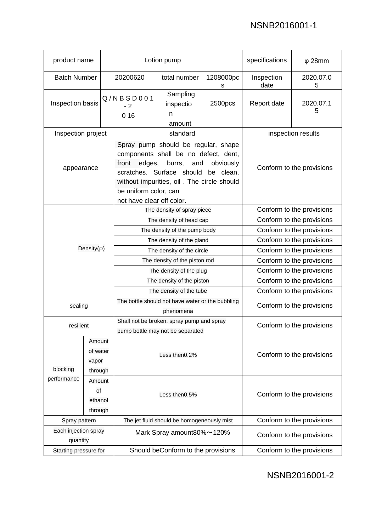| product name                     |                   |                                                               |                                                                                                                                                                                                                                                                                | Lotion pump                          | specifications            | $\varphi$ 28mm            |                           |  |
|----------------------------------|-------------------|---------------------------------------------------------------|--------------------------------------------------------------------------------------------------------------------------------------------------------------------------------------------------------------------------------------------------------------------------------|--------------------------------------|---------------------------|---------------------------|---------------------------|--|
| <b>Batch Number</b>              |                   |                                                               | 20200620                                                                                                                                                                                                                                                                       | total number                         | 1208000pc<br>s            | Inspection<br>date        | 2020.07.0<br>5            |  |
| Inspection basis                 |                   |                                                               | Q/NBSD001<br>$-2$<br>016                                                                                                                                                                                                                                                       | Sampling<br>inspectio<br>n<br>amount | 2500pcs                   | Report date               | 2020.07.1<br>5            |  |
| Inspection project               |                   |                                                               | standard                                                                                                                                                                                                                                                                       |                                      |                           | inspection results        |                           |  |
| appearance                       |                   |                                                               | Spray pump should be regular, shape<br>components shall be no defect, dent,<br>edges,<br>front<br>burrs,<br>obviously<br>and<br>scratches. Surface should<br>be<br>clean,<br>without impurities, oil . The circle should<br>be uniform color, can<br>not have clear off color. |                                      |                           | Conform to the provisions |                           |  |
|                                  |                   |                                                               | The density of spray piece                                                                                                                                                                                                                                                     |                                      |                           | Conform to the provisions |                           |  |
|                                  |                   |                                                               |                                                                                                                                                                                                                                                                                | The density of head cap              |                           |                           | Conform to the provisions |  |
|                                  |                   |                                                               |                                                                                                                                                                                                                                                                                | The density of the pump body         |                           |                           | Conform to the provisions |  |
|                                  |                   |                                                               | The density of the gland                                                                                                                                                                                                                                                       |                                      |                           | Conform to the provisions |                           |  |
|                                  | Density( $\rho$ ) |                                                               | The density of the circle                                                                                                                                                                                                                                                      |                                      |                           | Conform to the provisions |                           |  |
|                                  |                   |                                                               |                                                                                                                                                                                                                                                                                | The density of the piston rod        |                           | Conform to the provisions |                           |  |
|                                  |                   |                                                               | The density of the plug                                                                                                                                                                                                                                                        |                                      |                           | Conform to the provisions |                           |  |
|                                  |                   |                                                               | The density of the piston                                                                                                                                                                                                                                                      |                                      |                           | Conform to the provisions |                           |  |
|                                  |                   |                                                               | The density of the tube                                                                                                                                                                                                                                                        |                                      |                           | Conform to the provisions |                           |  |
| sealing                          |                   | The bottle should not have water or the bubbling<br>phenomena |                                                                                                                                                                                                                                                                                |                                      | Conform to the provisions |                           |                           |  |
| resilient                        |                   |                                                               | Shall not be broken, spray pump and spray<br>pump bottle may not be separated                                                                                                                                                                                                  |                                      |                           | Conform to the provisions |                           |  |
| blocking                         |                   | Amount<br>of water<br>vapor<br>through                        | Less then0.2%                                                                                                                                                                                                                                                                  |                                      | Conform to the provisions |                           |                           |  |
| performance                      |                   | Amount<br>of<br>ethanol<br>through                            | Less then0.5%                                                                                                                                                                                                                                                                  |                                      |                           | Conform to the provisions |                           |  |
| Spray pattern                    |                   | The jet fluid should be homogeneously mist                    |                                                                                                                                                                                                                                                                                | Conform to the provisions            |                           |                           |                           |  |
| Each injection spray<br>quantity |                   | Mark Spray amount80%~120%                                     |                                                                                                                                                                                                                                                                                | Conform to the provisions            |                           |                           |                           |  |
| Starting pressure for            |                   | Should beConform to the provisions                            |                                                                                                                                                                                                                                                                                |                                      | Conform to the provisions |                           |                           |  |

NSNB2016001-2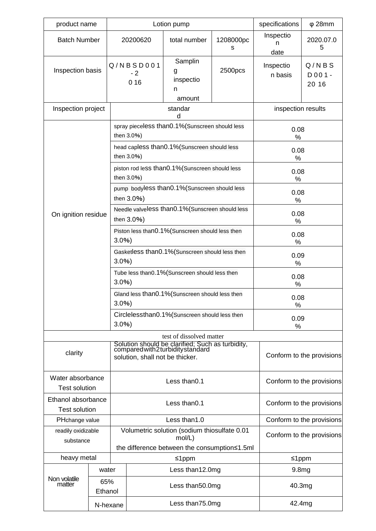| product name                               |                |                                                        | Lotion pump                                                                            | specifications            | $\varphi$ 28mm            |                             |  |
|--------------------------------------------|----------------|--------------------------------------------------------|----------------------------------------------------------------------------------------|---------------------------|---------------------------|-----------------------------|--|
| <b>Batch Number</b>                        |                | 20200620                                               | total number                                                                           | 1208000pc<br>s            | Inspectio<br>n<br>date    | 2020.07.0<br>5              |  |
| Inspection basis                           |                | Q/NBSD001<br>$-2$<br>016                               | Samplin<br>g<br>inspectio<br>n<br>amount                                               | 2500pcs                   | Inspectio<br>n basis      | Q/NBS<br>$D$ 001 -<br>20 16 |  |
| Inspection project                         |                |                                                        | standar<br>d                                                                           |                           | inspection results        |                             |  |
| On ignition residue                        |                | then 3.0%)                                             | spray pieceless than0.1% (Sunscreen should less                                        |                           | 0.08<br>℅                 |                             |  |
|                                            |                | then 3.0%)                                             | head capless than0.1% (Sunscreen should less                                           | 0.08<br>%                 |                           |                             |  |
|                                            |                | then 3.0%)                                             | piston rod less than0.1% (Sunscreen should less                                        | 0.08<br>$\%$              |                           |                             |  |
|                                            |                | then 3.0%)                                             | pump bodyless than0.1% (Sunscreen should less                                          | 0.08<br>$\%$              |                           |                             |  |
|                                            |                | then 3.0%)                                             | Needle valveless than0.1% (Sunscreen should less                                       | 0.08<br>%                 |                           |                             |  |
|                                            |                | 3.0%                                                   | Piston less than 0.1% (Sunscreen should less then                                      | 0.08<br>%                 |                           |                             |  |
|                                            |                | 3.0%                                                   | Gasketless than0.1% (Sunscreen should less then                                        | 0.09<br>%                 |                           |                             |  |
|                                            |                | 3.0%                                                   | Tube less than0.1% (Sunscreen should less then                                         | 0.08<br>$\%$              |                           |                             |  |
|                                            |                | 3.0%                                                   | Gland less than0.1% (Sunscreen should less then                                        | 0.08<br>%                 |                           |                             |  |
|                                            |                | 3.0%                                                   | Circlelessthan0.1% (Sunscreen should less then                                         | 0.09<br>%                 |                           |                             |  |
|                                            |                |                                                        | test of dissolved matter                                                               |                           |                           |                             |  |
| clarity                                    |                | solution, shall not be thicker.                        | Solution should be clarified; Such as turbidity,<br>compared with 2 turbidity standard | Conform to the provisions |                           |                             |  |
| Water absorbance<br><b>Test solution</b>   |                |                                                        | Less than0.1                                                                           | Conform to the provisions |                           |                             |  |
| Ethanol absorbance<br><b>Test solution</b> |                |                                                        | Less than0.1                                                                           | Conform to the provisions |                           |                             |  |
| PHchange value                             |                |                                                        | Less than1.0                                                                           |                           | Conform to the provisions |                             |  |
| readily oxidizable<br>substance            |                | Volumetric solution (sodium thiosulfate 0.01<br>mol/L) |                                                                                        |                           |                           | Conform to the provisions   |  |
|                                            |                |                                                        | the difference between the consumption≤1.5ml                                           |                           |                           |                             |  |
| heavy metal                                |                | ≤1ppm                                                  |                                                                                        |                           | ≤1ppm                     |                             |  |
|                                            | water          |                                                        | Less than12.0mg                                                                        |                           |                           | 9.8 <sub>mg</sub>           |  |
| Non volatile<br>matter                     | 65%<br>Ethanol |                                                        | Less than50.0mg                                                                        |                           |                           | 40.3mg                      |  |
|                                            |                | Less than75.0mg<br>N-hexane                            |                                                                                        |                           |                           | 42.4mg                      |  |